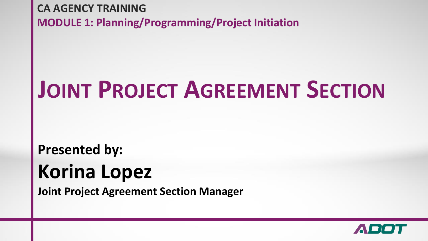**CA AGENCY TRAINING MODULE 1: Planning/Programming/Project Initiation** 

## **JOINT PROJECT AGREEMENT SECTION**

#### **Presented by: Korina Lopez**

**Joint Project Agreement Section Manager** 

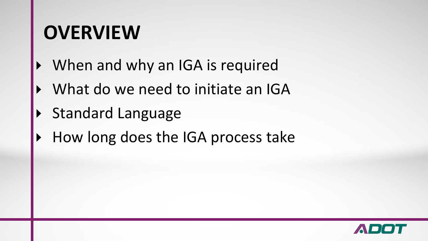#### **OVERVIEW**

- When and why an IGA is required
- What do we need to initiate an IGA
- Standard Language
- How long does the IGA process take

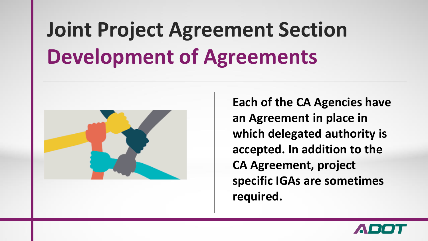## **Joint Project Agreement Section Development of Agreements**



**Each of the CA Agencies have an Agreement in place in which delegated authority is accepted. In addition to the CA Agreement, project specific IGAs are sometimes required.** 

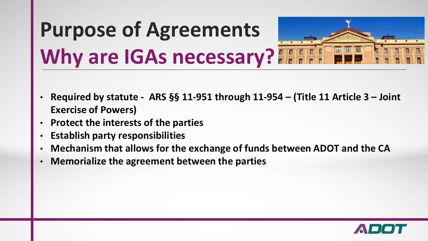# **Purpose of Agreements Why are IGAs necessary?**

- **Required by statute ARS §§ 11-951 through 11-954 – (Title 11 Article 3 – Joint Exercise of Powers)**
- **Protect the interests of the parties**
- **Establish party responsibilities**
- **Mechanism that allows for the exchange of funds between ADOT and the CA**
- **Memorialize the agreement between the parties**

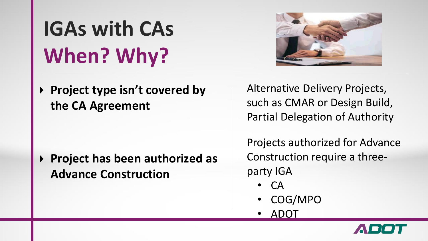**Project type isn't covered by the CA Agreement**

**Project has been authorized as Advance Construction**

Alternative Delivery Projects, such as CMAR or Design Build, Partial Delegation of Authority

Projects authorized for Advance Construction require a threeparty IGA

- CA
- COG/MPO
- ADOT



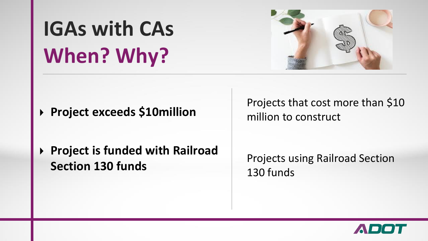

**Project exceeds \$10million** 

**Project is funded with Railroad Section 130 funds**

Projects that cost more than \$10 million to construct

Projects using Railroad Section 130 funds

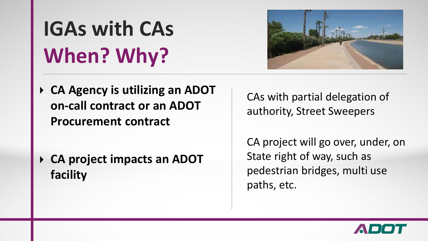

**CA Agency is utilizing an ADOT on-call contract or an ADOT Procurement contract**

**CA project impacts an ADOT facility**

CAs with partial delegation of authority, Street Sweepers

CA project will go over, under, on State right of way, such as pedestrian bridges, multi use paths, etc.

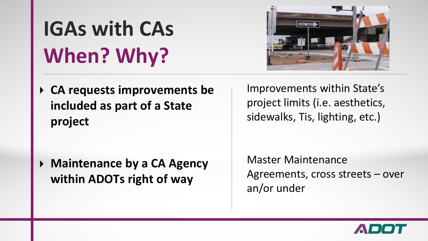**GIVEWAY** 

**CA requests improvements be included as part of a State project**

**Maintenance by a CA Agency within ADOTs right of way**

Improvements within State's project limits (i.e. aesthetics, sidewalks, Tis, lighting, etc.)

Master Maintenance Agreements, cross streets – over an/or under

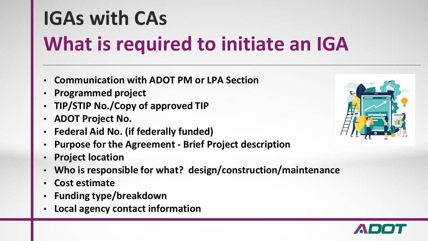## **IGAs with CAs What is required to initiate an IGA**

- **Communication with ADOT PM or LPA Section**
- **Programmed project**
- **TIP/STIP No./Copy of approved TIP**
- **ADOT Project No.**
- **Federal Aid No. (if federally funded)**
- **Purpose for the Agreement - Brief Project description**
- **Project location**
- **Who is responsible for what? design/construction/maintenance**
- **Cost estimate**
- **Funding type/breakdown**
- **Local agency contact information**



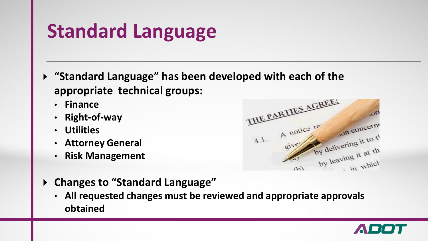#### **Standard Language**

- **"Standard Language" has been developed with each of the appropriate technical groups:**
	- **Finance**
	- **Right-of-way**
	- **Utilities**
	- **Attorney General**
	- **Risk Management**



- **Changes to "Standard Language"**  $\blacktriangleright$ 
	- **All requested changes must be reviewed and appropriate approvals obtained**

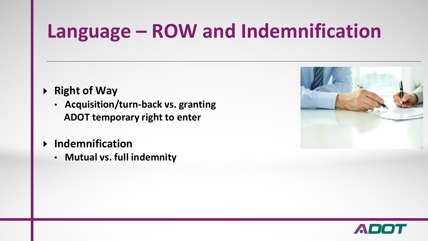#### **Language – ROW and Indemnification**

- **Right of Way**  $\blacktriangleright$ 
	- **Acquisition/turn-back vs. granting ADOT temporary right to enter**
- **Indemnification**  $\blacktriangleright$ 
	- **Mutual vs. full indemnity**



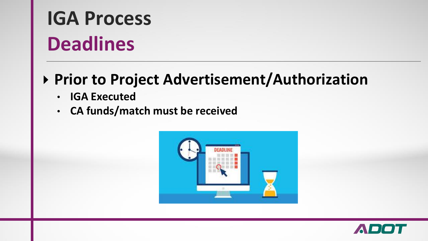## **IGA Process Deadlines**

#### **Prior to Project Advertisement/Authorization**

- **IGA Executed**
- **CA funds/match must be received**



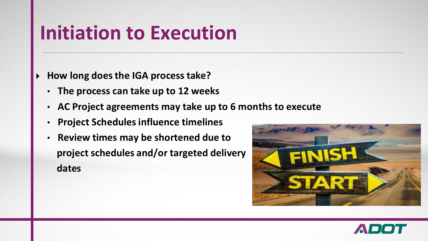#### **Initiation to Execution**

- **How long does the IGA process take?**
	- **The process can take up to 12 weeks**
	- **AC Project agreements may take up to 6 months to execute**
	- **Project Schedules influence timelines**
	- **Review times may be shortened due to project schedules and/or targeted delivery dates**



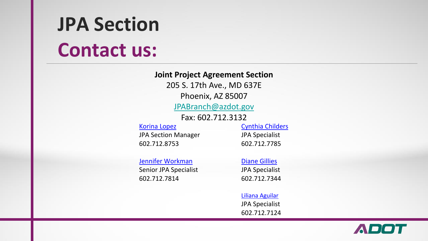### **JPA Section Contact us:**

**Joint Project Agreement Section**

205 S. 17th Ave., MD 637E

Phoenix, AZ 85007

[JPABranch@azdot.gov](mailto:JPABranch@azdot.gov)

Fax: 602.712.3132

Korina Lopez JPA Section Manager 602.712.8753

Cynthia Childers JPA Specialist 602.712.7785

Jennifer Workman

Senior JPA Specialist 602.712.7814

Diane Gillies

JPA Specialist 602.712.7344

Liliana Aguilar JPA Specialist 602.712.7124

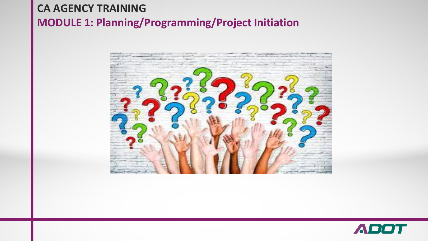#### **CA AGENCY TRAINING MODULE 1: Planning/Programming/Project Initiation**